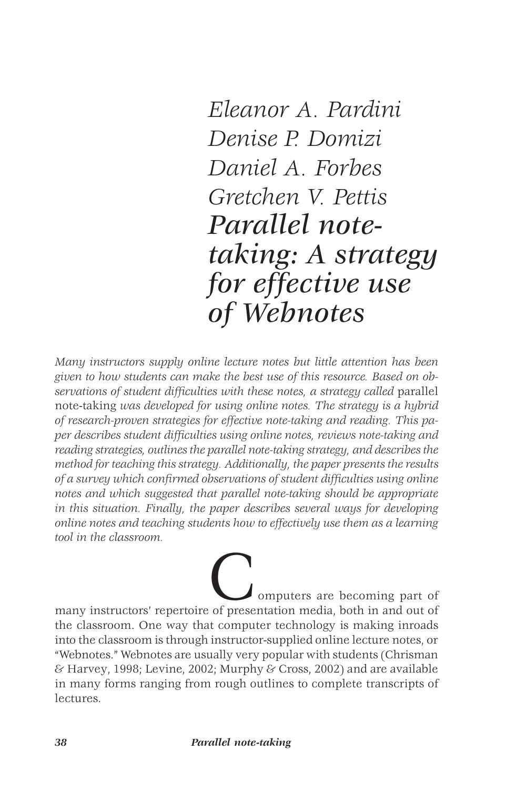*Eleanor A. Pardini Denise P. Domizi Daniel A. Forbes Gretchen V. Pettis Parallel notetaking: A strategy for effective use of Webnotes*

*Many instructors supply online lecture notes but little attention has been given to how students can make the best use of this resource. Based on observations of student difficulties with these notes, a strategy called* parallel note-taking *was developed for using online notes. The strategy is a hybrid of research-proven strategies for effective note-taking and reading. This paper describes student difficulties using online notes, reviews note-taking and reading strategies, outlines the parallel note-taking strategy, and describes the method for teaching this strategy. Additionally, the paper presents the results of a survey which confirmed observations of student difficulties using online notes and which suggested that parallel note-taking should be appropriate in this situation. Finally, the paper describes several ways for developing online notes and teaching students how to effectively use them as a learning tool in the classroom.*

**Computers** are becoming part of many instructors' repertoire of presentation media, both in and out of the classroom. One way that computer technology is making inroads into the classroom is through instructor-supplied online lecture notes, or "Webnotes." Webnotes are usually very popular with students (Chrisman & Harvey, 1998; Levine, 2002; Murphy & Cross, 2002) and are available in many forms ranging from rough outlines to complete transcripts of lectures.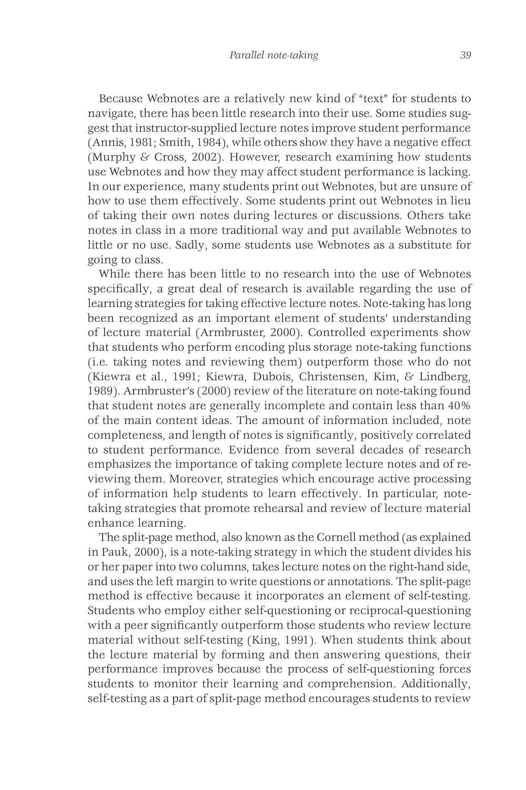Because Webnotes are a relatively new kind of "text" for students to navigate, there has been little research into their use. Some studies suggest that instructor-supplied lecture notes improve student performance (Annis, 1981; Smith, 1984), while others show they have a negative effect (Murphy & Cross, 2002). However, research examining how students use Webnotes and how they may affect student performance is lacking. In our experience, many students print out Webnotes, but are unsure of how to use them effectively. Some students print out Webnotes in lieu of taking their own notes during lectures or discussions. Others take notes in class in a more traditional way and put available Webnotes to little or no use. Sadly, some students use Webnotes as a substitute for going to class.

While there has been little to no research into the use of Webnotes specifically, a great deal of research is available regarding the use of learning strategies for taking effective lecture notes. Note-taking has long been recognized as an important element of students' understanding of lecture material (Armbruster, 2000). Controlled experiments show that students who perform encoding plus storage note-taking functions (i.e. taking notes and reviewing them) outperform those who do not (Kiewra et al., 1991; Kiewra, Dubois, Christensen, Kim, & Lindberg, 1989). Armbruster's (2000) review of the literature on note-taking found that student notes are generally incomplete and contain less than 40% of the main content ideas. The amount of information included, note completeness, and length of notes is significantly, positively correlated to student performance. Evidence from several decades of research emphasizes the importance of taking complete lecture notes and of reviewing them. Moreover, strategies which encourage active processing of information help students to learn effectively. In particular, notetaking strategies that promote rehearsal and review of lecture material enhance learning.

The split-page method, also known as the Cornell method (as explained in Pauk, 2000), is a note-taking strategy in which the student divides his or her paper into two columns, takes lecture notes on the right-hand side, and uses the left margin to write questions or annotations. The split-page method is effective because it incorporates an element of self-testing. Students who employ either self-questioning or reciprocal-questioning with a peer significantly outperform those students who review lecture material without self-testing (King, 1991). When students think about the lecture material by forming and then answering questions, their performance improves because the process of self-questioning forces students to monitor their learning and comprehension. Additionally, self-testing as a part of split-page method encourages students to review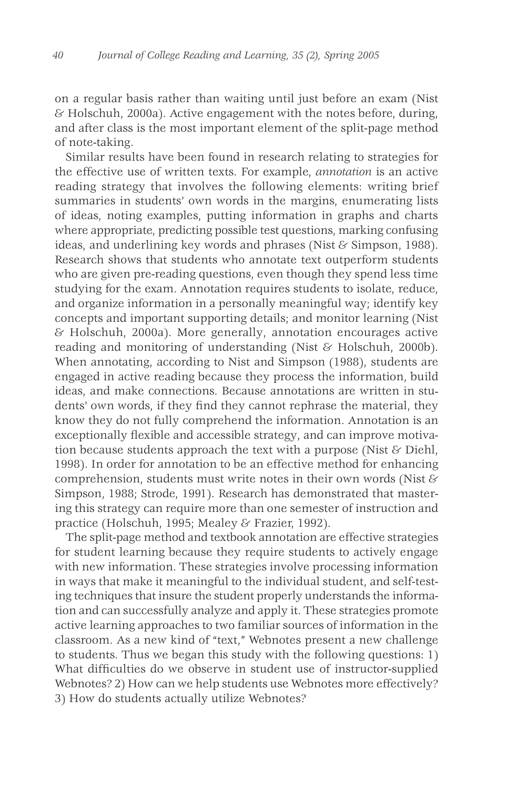on a regular basis rather than waiting until just before an exam (Nist & Holschuh, 2000a). Active engagement with the notes before, during, and after class is the most important element of the split-page method of note-taking.

Similar results have been found in research relating to strategies for the effective use of written texts. For example, *annotation* is an active reading strategy that involves the following elements: writing brief summaries in students' own words in the margins, enumerating lists of ideas, noting examples, putting information in graphs and charts where appropriate, predicting possible test questions, marking confusing ideas, and underlining key words and phrases (Nist  $&$  Simpson, 1988). Research shows that students who annotate text outperform students who are given pre-reading questions, even though they spend less time studying for the exam. Annotation requires students to isolate, reduce, and organize information in a personally meaningful way; identify key concepts and important supporting details; and monitor learning (Nist & Holschuh, 2000a). More generally, annotation encourages active reading and monitoring of understanding (Nist  $\&$  Holschuh, 2000b). When annotating, according to Nist and Simpson (1988), students are engaged in active reading because they process the information, build ideas, and make connections. Because annotations are written in students' own words, if they find they cannot rephrase the material, they know they do not fully comprehend the information. Annotation is an exceptionally flexible and accessible strategy, and can improve motivation because students approach the text with a purpose (Nist  $\&$  Diehl, 1998). In order for annotation to be an effective method for enhancing comprehension, students must write notes in their own words (Nist  $\&$ Simpson, 1988; Strode, 1991). Research has demonstrated that mastering this strategy can require more than one semester of instruction and practice (Holschuh, 1995; Mealey & Frazier, 1992).

The split-page method and textbook annotation are effective strategies for student learning because they require students to actively engage with new information. These strategies involve processing information in ways that make it meaningful to the individual student, and self-testing techniques that insure the student properly understands the information and can successfully analyze and apply it. These strategies promote active learning approaches to two familiar sources of information in the classroom. As a new kind of "text," Webnotes present a new challenge to students. Thus we began this study with the following questions: 1) What difficulties do we observe in student use of instructor-supplied Webnotes? 2) How can we help students use Webnotes more effectively? 3) How do students actually utilize Webnotes?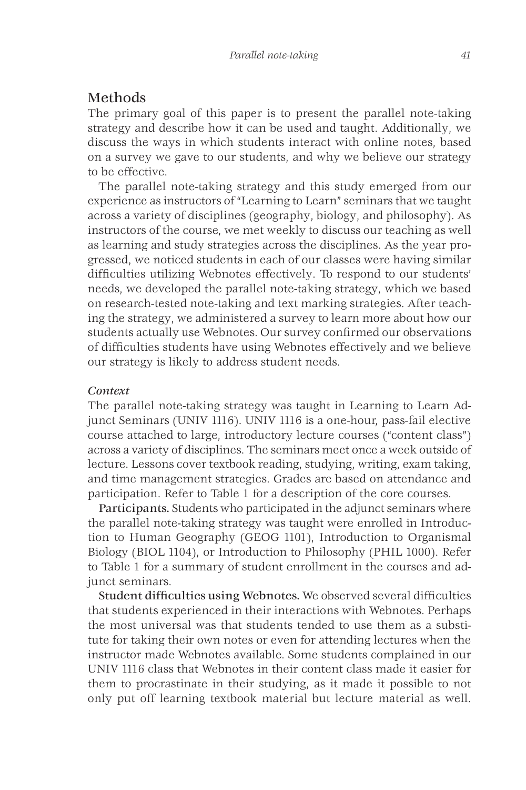## Methods

The primary goal of this paper is to present the parallel note-taking strategy and describe how it can be used and taught. Additionally, we discuss the ways in which students interact with online notes, based on a survey we gave to our students, and why we believe our strategy to be effective.

The parallel note-taking strategy and this study emerged from our experience as instructors of "Learning to Learn" seminars that we taught across a variety of disciplines (geography, biology, and philosophy). As instructors of the course, we met weekly to discuss our teaching as well as learning and study strategies across the disciplines. As the year progressed, we noticed students in each of our classes were having similar difficulties utilizing Webnotes effectively. To respond to our students' needs, we developed the parallel note-taking strategy, which we based on research-tested note-taking and text marking strategies. After teaching the strategy, we administered a survey to learn more about how our students actually use Webnotes. Our survey confirmed our observations of difficulties students have using Webnotes effectively and we believe our strategy is likely to address student needs.

### *Context*

The parallel note-taking strategy was taught in Learning to Learn Adjunct Seminars (UNIV 1116). UNIV 1116 is a one-hour, pass-fail elective course attached to large, introductory lecture courses ("content class") across a variety of disciplines. The seminars meet once a week outside of lecture. Lessons cover textbook reading, studying, writing, exam taking, and time management strategies. Grades are based on attendance and participation. Refer to Table 1 for a description of the core courses.

Participants. Students who participated in the adjunct seminars where the parallel note-taking strategy was taught were enrolled in Introduction to Human Geography (GEOG 1101), Introduction to Organismal Biology (BIOL 1104), or Introduction to Philosophy (PHIL 1000). Refer to Table 1 for a summary of student enrollment in the courses and adjunct seminars.

Student difficulties using Webnotes. We observed several difficulties that students experienced in their interactions with Webnotes. Perhaps the most universal was that students tended to use them as a substitute for taking their own notes or even for attending lectures when the instructor made Webnotes available. Some students complained in our UNIV 1116 class that Webnotes in their content class made it easier for them to procrastinate in their studying, as it made it possible to not only put off learning textbook material but lecture material as well.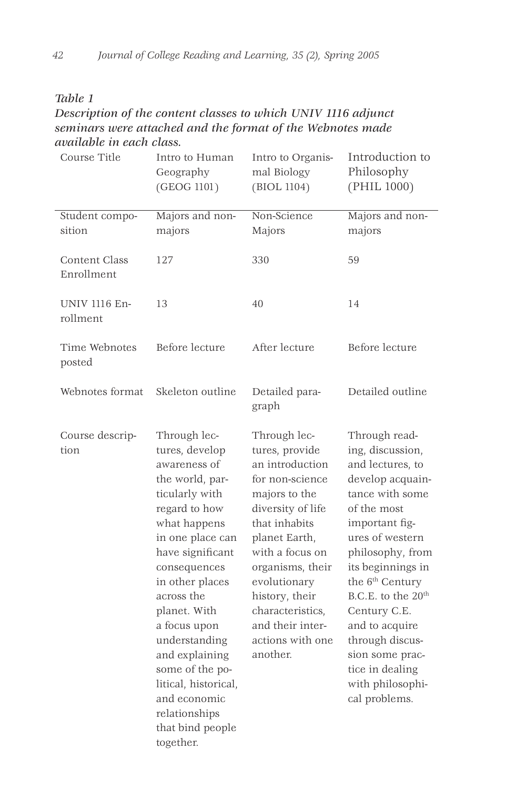## *Table 1*

## *Description of the content classes to which UNIV 1116 adjunct seminars were attached and the format of the Webnotes made available in each class.*

| Course Title                | Intro to Human<br>Geography<br>(GEOG 1101)                                                                                                                                                                                                                                                                                                                                                    | Intro to Organis-<br>mal Biology<br>(BIOL 1104)                                                                                                                                                                                                                                               | Introduction to<br>Philosophy<br>(PHIL 1000)                                                                                                                                                                                                                                                                                                                                     |
|-----------------------------|-----------------------------------------------------------------------------------------------------------------------------------------------------------------------------------------------------------------------------------------------------------------------------------------------------------------------------------------------------------------------------------------------|-----------------------------------------------------------------------------------------------------------------------------------------------------------------------------------------------------------------------------------------------------------------------------------------------|----------------------------------------------------------------------------------------------------------------------------------------------------------------------------------------------------------------------------------------------------------------------------------------------------------------------------------------------------------------------------------|
| Student compo-<br>sition    | Majors and non-<br>majors                                                                                                                                                                                                                                                                                                                                                                     | Non-Science<br>Majors                                                                                                                                                                                                                                                                         | Majors and non-<br>majors                                                                                                                                                                                                                                                                                                                                                        |
|                             |                                                                                                                                                                                                                                                                                                                                                                                               |                                                                                                                                                                                                                                                                                               |                                                                                                                                                                                                                                                                                                                                                                                  |
| Content Class<br>Enrollment | 127                                                                                                                                                                                                                                                                                                                                                                                           | 330                                                                                                                                                                                                                                                                                           | 59                                                                                                                                                                                                                                                                                                                                                                               |
| UNIV 1116 En-<br>rollment   | 13                                                                                                                                                                                                                                                                                                                                                                                            | 40                                                                                                                                                                                                                                                                                            | 14                                                                                                                                                                                                                                                                                                                                                                               |
| Time Webnotes<br>posted     | Before lecture                                                                                                                                                                                                                                                                                                                                                                                | After lecture                                                                                                                                                                                                                                                                                 | Before lecture                                                                                                                                                                                                                                                                                                                                                                   |
| Webnotes format             | Skeleton outline                                                                                                                                                                                                                                                                                                                                                                              | Detailed para-<br>graph                                                                                                                                                                                                                                                                       | Detailed outline                                                                                                                                                                                                                                                                                                                                                                 |
| Course descrip-<br>tion     | Through lec-<br>tures, develop<br>awareness of<br>the world, par-<br>ticularly with<br>regard to how<br>what happens<br>in one place can<br>have significant<br>consequences<br>in other places<br>across the<br>planet. With<br>a focus upon<br>understanding<br>and explaining<br>some of the po-<br>litical, historical,<br>and economic<br>relationships<br>that bind people<br>together. | Through lec-<br>tures, provide<br>an introduction<br>for non-science<br>majors to the<br>diversity of life<br>that inhabits<br>planet Earth,<br>with a focus on<br>organisms, their<br>evolutionary<br>history, their<br>characteristics,<br>and their inter-<br>actions with one<br>another. | Through read-<br>ing, discussion,<br>and lectures, to<br>develop acquain-<br>tance with some<br>of the most<br>important fig-<br>ures of western<br>philosophy, from<br>its beginnings in<br>the 6 <sup>th</sup> Century<br>B.C.E. to the $20th$<br>Century C.E.<br>and to acquire<br>through discus-<br>sion some prac-<br>tice in dealing<br>with philosophi-<br>cal problems. |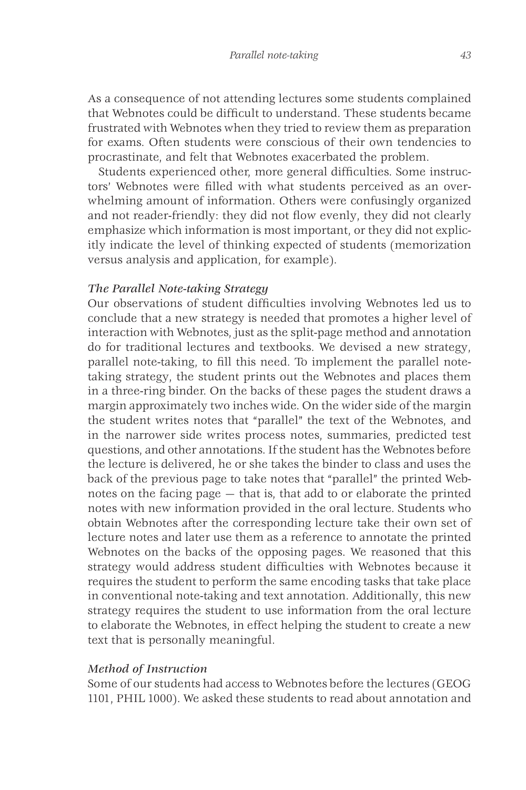As a consequence of not attending lectures some students complained that Webnotes could be difficult to understand. These students became frustrated with Webnotes when they tried to review them as preparation for exams. Often students were conscious of their own tendencies to procrastinate, and felt that Webnotes exacerbated the problem.

Students experienced other, more general difficulties. Some instructors' Webnotes were filled with what students perceived as an overwhelming amount of information. Others were confusingly organized and not reader-friendly: they did not flow evenly, they did not clearly emphasize which information is most important, or they did not explicitly indicate the level of thinking expected of students (memorization versus analysis and application, for example).

#### *The Parallel Note-taking Strategy*

Our observations of student difficulties involving Webnotes led us to conclude that a new strategy is needed that promotes a higher level of interaction with Webnotes, just as the split-page method and annotation do for traditional lectures and textbooks. We devised a new strategy, parallel note-taking, to fill this need. To implement the parallel notetaking strategy, the student prints out the Webnotes and places them in a three-ring binder. On the backs of these pages the student draws a margin approximately two inches wide. On the wider side of the margin the student writes notes that "parallel" the text of the Webnotes, and in the narrower side writes process notes, summaries, predicted test questions, and other annotations. If the student has the Webnotes before the lecture is delivered, he or she takes the binder to class and uses the back of the previous page to take notes that "parallel" the printed Webnotes on the facing page — that is, that add to or elaborate the printed notes with new information provided in the oral lecture. Students who obtain Webnotes after the corresponding lecture take their own set of lecture notes and later use them as a reference to annotate the printed Webnotes on the backs of the opposing pages. We reasoned that this strategy would address student difficulties with Webnotes because it requires the student to perform the same encoding tasks that take place in conventional note-taking and text annotation. Additionally, this new strategy requires the student to use information from the oral lecture to elaborate the Webnotes, in effect helping the student to create a new text that is personally meaningful.

### *Method of Instruction*

Some of our students had access to Webnotes before the lectures (GEOG 1101, PHIL 1000). We asked these students to read about annotation and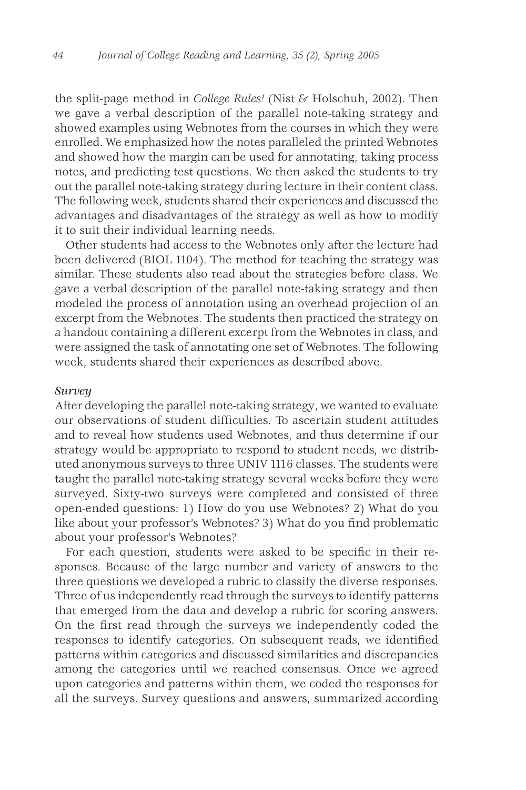the split-page method in *College Rules!* (Nist & Holschuh, 2002). Then we gave a verbal description of the parallel note-taking strategy and showed examples using Webnotes from the courses in which they were enrolled. We emphasized how the notes paralleled the printed Webnotes and showed how the margin can be used for annotating, taking process notes, and predicting test questions. We then asked the students to try out the parallel note-taking strategy during lecture in their content class. The following week, students shared their experiences and discussed the advantages and disadvantages of the strategy as well as how to modify it to suit their individual learning needs.

Other students had access to the Webnotes only after the lecture had been delivered (BIOL 1104). The method for teaching the strategy was similar. These students also read about the strategies before class. We gave a verbal description of the parallel note-taking strategy and then modeled the process of annotation using an overhead projection of an excerpt from the Webnotes. The students then practiced the strategy on a handout containing a different excerpt from the Webnotes in class, and were assigned the task of annotating one set of Webnotes. The following week, students shared their experiences as described above.

#### *Survey*

After developing the parallel note-taking strategy, we wanted to evaluate our observations of student difficulties. To ascertain student attitudes and to reveal how students used Webnotes, and thus determine if our strategy would be appropriate to respond to student needs, we distributed anonymous surveys to three UNIV 1116 classes. The students were taught the parallel note-taking strategy several weeks before they were surveyed. Sixty-two surveys were completed and consisted of three open-ended questions: 1) How do you use Webnotes? 2) What do you like about your professor's Webnotes? 3) What do you find problematic about your professor's Webnotes?

For each question, students were asked to be specific in their responses. Because of the large number and variety of answers to the three questions we developed a rubric to classify the diverse responses. Three of us independently read through the surveys to identify patterns that emerged from the data and develop a rubric for scoring answers. On the first read through the surveys we independently coded the responses to identify categories. On subsequent reads, we identified patterns within categories and discussed similarities and discrepancies among the categories until we reached consensus. Once we agreed upon categories and patterns within them, we coded the responses for all the surveys. Survey questions and answers, summarized according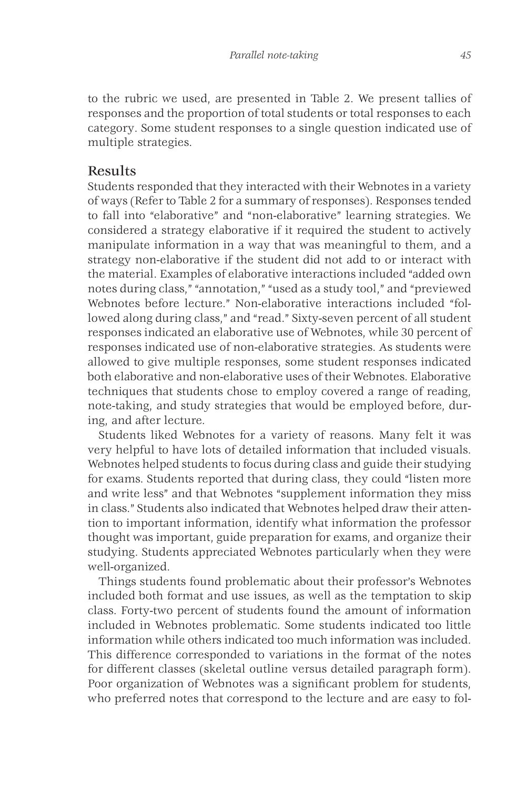to the rubric we used, are presented in Table 2. We present tallies of responses and the proportion of total students or total responses to each category. Some student responses to a single question indicated use of multiple strategies.

## Results

Students responded that they interacted with their Webnotes in a variety of ways (Refer to Table 2 for a summary of responses). Responses tended to fall into "elaborative" and "non-elaborative" learning strategies. We considered a strategy elaborative if it required the student to actively manipulate information in a way that was meaningful to them, and a strategy non-elaborative if the student did not add to or interact with the material. Examples of elaborative interactions included "added own notes during class," "annotation," "used as a study tool," and "previewed Webnotes before lecture." Non-elaborative interactions included "followed along during class," and "read." Sixty-seven percent of all student responses indicated an elaborative use of Webnotes, while 30 percent of responses indicated use of non-elaborative strategies. As students were allowed to give multiple responses, some student responses indicated both elaborative and non-elaborative uses of their Webnotes. Elaborative techniques that students chose to employ covered a range of reading, note-taking, and study strategies that would be employed before, during, and after lecture.

Students liked Webnotes for a variety of reasons. Many felt it was very helpful to have lots of detailed information that included visuals. Webnotes helped students to focus during class and guide their studying for exams. Students reported that during class, they could "listen more and write less" and that Webnotes "supplement information they miss in class." Students also indicated that Webnotes helped draw their attention to important information, identify what information the professor thought was important, guide preparation for exams, and organize their studying. Students appreciated Webnotes particularly when they were well-organized.

Things students found problematic about their professor's Webnotes included both format and use issues, as well as the temptation to skip class. Forty-two percent of students found the amount of information included in Webnotes problematic. Some students indicated too little information while others indicated too much information was included. This difference corresponded to variations in the format of the notes for different classes (skeletal outline versus detailed paragraph form). Poor organization of Webnotes was a significant problem for students, who preferred notes that correspond to the lecture and are easy to fol-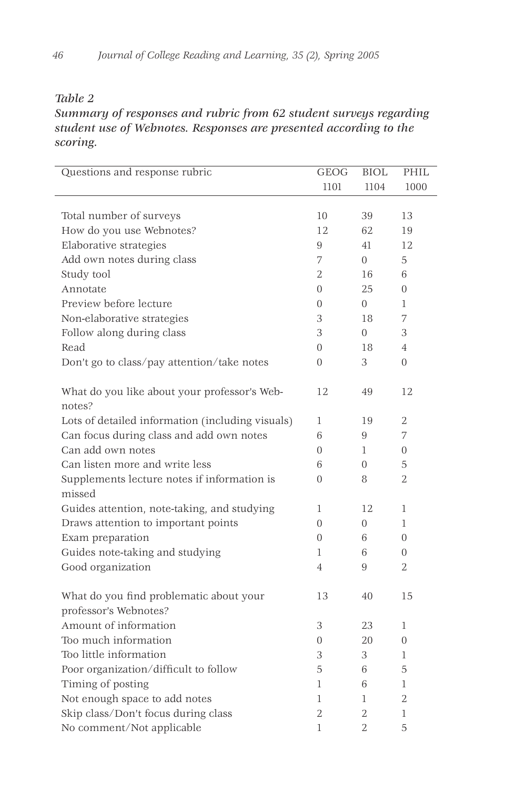## *Table 2*

*Summary of responses and rubric from 62 student surveys regarding student use of Webnotes. Responses are presented according to the scoring.*

| Questions and response rubric                    | <b>GEOG</b>    | <b>BIOL</b>    | PHIL           |
|--------------------------------------------------|----------------|----------------|----------------|
|                                                  | 1101           | 1104           | 1000           |
|                                                  |                |                |                |
| Total number of surveys                          | 10             | 39             | 13             |
| How do you use Webnotes?                         | 12             | 62             | 19             |
| Elaborative strategies                           | 9              | 41             | 12             |
| Add own notes during class                       | 7              | $\Omega$       | 5              |
| Study tool                                       | 2              | 16             | 6              |
| Annotate                                         | $\Omega$       | 25             | $\overline{0}$ |
| Preview before lecture                           | $\overline{0}$ | $\overline{0}$ | 1              |
| Non-elaborative strategies                       | 3              | 18             | 7              |
| Follow along during class                        | 3              | $\overline{0}$ | 3              |
| Read                                             | $\overline{0}$ | 18             | 4              |
| Don't go to class/pay attention/take notes       | $\overline{0}$ | 3              | $\overline{0}$ |
|                                                  |                |                |                |
| What do you like about your professor's Web-     | 12             | 49             | 12             |
| notes?                                           |                |                |                |
| Lots of detailed information (including visuals) | 1              | 19             | $\overline{2}$ |
| Can focus during class and add own notes         | 6              | 9              | 7              |
| Can add own notes                                | $\Omega$       | 1              | $\overline{0}$ |
| Can listen more and write less                   | 6              | $\overline{0}$ | 5              |
| Supplements lecture notes if information is      | $\Omega$       | 8              | 2              |
| missed                                           |                |                |                |
| Guides attention, note-taking, and studying      | 1              | 12             | 1              |
| Draws attention to important points              | $\Omega$       | $\Omega$       | 1              |
| Exam preparation                                 | $\Omega$       | 6              | $\overline{0}$ |
| Guides note-taking and studying                  | 1              | 6              | $\overline{0}$ |
| Good organization                                | 4              | 9              | $\overline{2}$ |
|                                                  |                |                |                |
| What do you find problematic about your          | 13             | 40             | 15             |
| professor's Webnotes?                            |                |                |                |
| Amount of information                            | 3              | 23             | 1              |
| Too much information                             | $\overline{0}$ | 20             | $\overline{0}$ |
| Too little information                           | 3              | 3              | 1              |
| Poor organization/difficult to follow            | 5              | 6              | 5              |
| Timing of posting                                | 1              | 6              | 1              |
| Not enough space to add notes                    | 1              | 1              | $\overline{2}$ |
| Skip class/Don't focus during class              | $\overline{2}$ | $\overline{2}$ | 1              |
| No comment/Not applicable                        | 1              | $\overline{2}$ | 5              |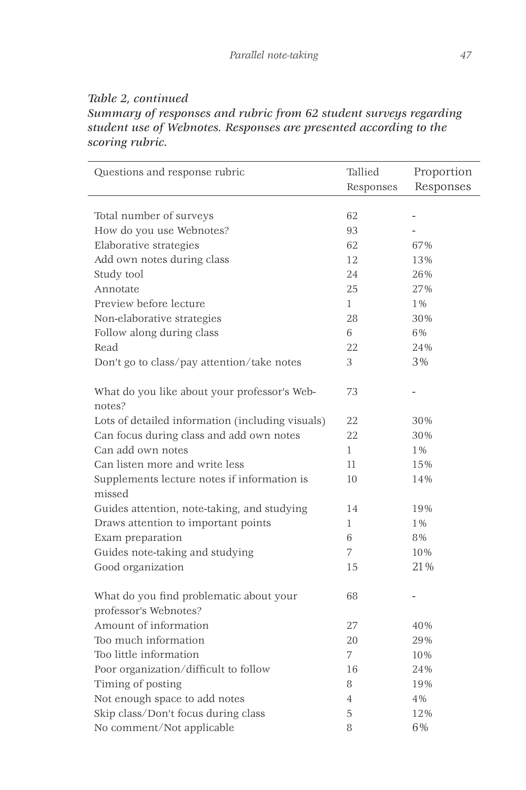# *Table 2, continued*

*Summary of responses and rubric from 62 student surveys regarding student use of Webnotes. Responses are presented according to the scoring rubric.*

| Questions and response rubric                         | Tallied   | Proportion |
|-------------------------------------------------------|-----------|------------|
|                                                       | Responses | Responses  |
| Total number of surveys                               | 62        |            |
| How do you use Webnotes?                              | 93        |            |
| Elaborative strategies                                | 62        | 67%        |
| Add own notes during class                            | 12        | 13%        |
| Study tool                                            | 24        | 26%        |
| Annotate                                              | 25        | 27%        |
| Preview before lecture                                | 1         | 1%         |
|                                                       | 28        |            |
| Non-elaborative strategies                            |           | 30%        |
| Follow along during class                             | 6         | 6%         |
| Read                                                  | 22        | 24%        |
| Don't go to class/pay attention/take notes            | 3         | 3%         |
| What do you like about your professor's Web-          | 73        |            |
| notes?                                                |           |            |
| Lots of detailed information (including visuals)      | 22        | 30%        |
| Can focus during class and add own notes              | 22        | 30%        |
| Can add own notes                                     | 1         | 1%         |
| Can listen more and write less                        | 11        | 15%        |
| Supplements lecture notes if information is<br>missed | 10        | 14%        |
|                                                       |           |            |
| Guides attention, note-taking, and studying           | 14        | 19%        |
| Draws attention to important points                   | 1         | 1%         |
| Exam preparation                                      | 6         | 8%         |
| Guides note-taking and studying                       | 7         | 10%        |
| Good organization                                     | 15        | 21%        |
| What do you find problematic about your               | 68        |            |
| professor's Webnotes?                                 |           |            |
| Amount of information                                 | 27        | 40%        |
| Too much information                                  | 20        | 29%        |
| Too little information                                | 7         | 10%        |
| Poor organization/difficult to follow                 | 16        | 24%        |
| Timing of posting                                     | 8         | 19%        |
| Not enough space to add notes                         | 4         | 4%         |
| Skip class/Don't focus during class                   | 5         | 12%        |
| No comment/Not applicable                             | 8         | 6%         |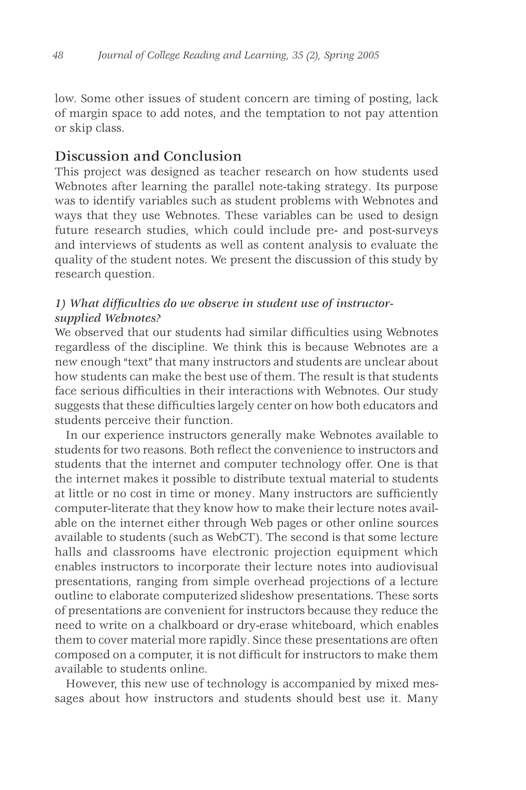low. Some other issues of student concern are timing of posting, lack of margin space to add notes, and the temptation to not pay attention or skip class.

# Discussion and Conclusion

This project was designed as teacher research on how students used Webnotes after learning the parallel note-taking strategy. Its purpose was to identify variables such as student problems with Webnotes and ways that they use Webnotes. These variables can be used to design future research studies, which could include pre- and post-surveys and interviews of students as well as content analysis to evaluate the quality of the student notes. We present the discussion of this study by research question.

## *1) What difficulties do we observe in student use of instructorsupplied Webnotes?*

We observed that our students had similar difficulties using Webnotes regardless of the discipline. We think this is because Webnotes are a new enough "text" that many instructors and students are unclear about how students can make the best use of them. The result is that students face serious difficulties in their interactions with Webnotes. Our study suggests that these difficulties largely center on how both educators and students perceive their function.

In our experience instructors generally make Webnotes available to students for two reasons. Both reflect the convenience to instructors and students that the internet and computer technology offer. One is that the internet makes it possible to distribute textual material to students at little or no cost in time or money. Many instructors are sufficiently computer-literate that they know how to make their lecture notes available on the internet either through Web pages or other online sources available to students (such as WebCT). The second is that some lecture halls and classrooms have electronic projection equipment which enables instructors to incorporate their lecture notes into audiovisual presentations, ranging from simple overhead projections of a lecture outline to elaborate computerized slideshow presentations. These sorts of presentations are convenient for instructors because they reduce the need to write on a chalkboard or dry-erase whiteboard, which enables them to cover material more rapidly. Since these presentations are often composed on a computer, it is not difficult for instructors to make them available to students online.

However, this new use of technology is accompanied by mixed messages about how instructors and students should best use it. Many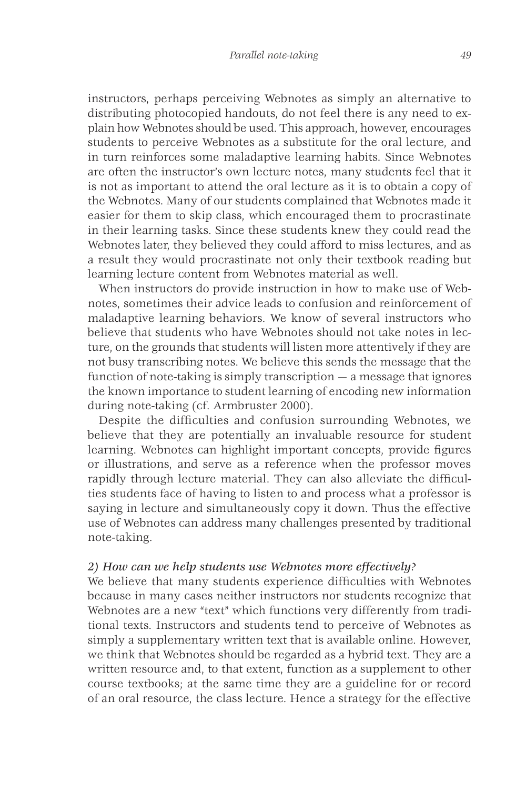instructors, perhaps perceiving Webnotes as simply an alternative to distributing photocopied handouts, do not feel there is any need to explain how Webnotes should be used. This approach, however, encourages students to perceive Webnotes as a substitute for the oral lecture, and in turn reinforces some maladaptive learning habits. Since Webnotes are often the instructor's own lecture notes, many students feel that it is not as important to attend the oral lecture as it is to obtain a copy of the Webnotes. Many of our students complained that Webnotes made it easier for them to skip class, which encouraged them to procrastinate in their learning tasks. Since these students knew they could read the Webnotes later, they believed they could afford to miss lectures, and as a result they would procrastinate not only their textbook reading but learning lecture content from Webnotes material as well.

When instructors do provide instruction in how to make use of Webnotes, sometimes their advice leads to confusion and reinforcement of maladaptive learning behaviors. We know of several instructors who believe that students who have Webnotes should not take notes in lecture, on the grounds that students will listen more attentively if they are not busy transcribing notes. We believe this sends the message that the function of note-taking is simply transcription — a message that ignores the known importance to student learning of encoding new information during note-taking (cf. Armbruster 2000).

Despite the difficulties and confusion surrounding Webnotes, we believe that they are potentially an invaluable resource for student learning. Webnotes can highlight important concepts, provide figures or illustrations, and serve as a reference when the professor moves rapidly through lecture material. They can also alleviate the difficulties students face of having to listen to and process what a professor is saying in lecture and simultaneously copy it down. Thus the effective use of Webnotes can address many challenges presented by traditional note-taking.

#### *2) How can we help students use Webnotes more effectively?*

We believe that many students experience difficulties with Webnotes because in many cases neither instructors nor students recognize that Webnotes are a new "text" which functions very differently from traditional texts. Instructors and students tend to perceive of Webnotes as simply a supplementary written text that is available online. However, we think that Webnotes should be regarded as a hybrid text. They are a written resource and, to that extent, function as a supplement to other course textbooks; at the same time they are a guideline for or record of an oral resource, the class lecture. Hence a strategy for the effective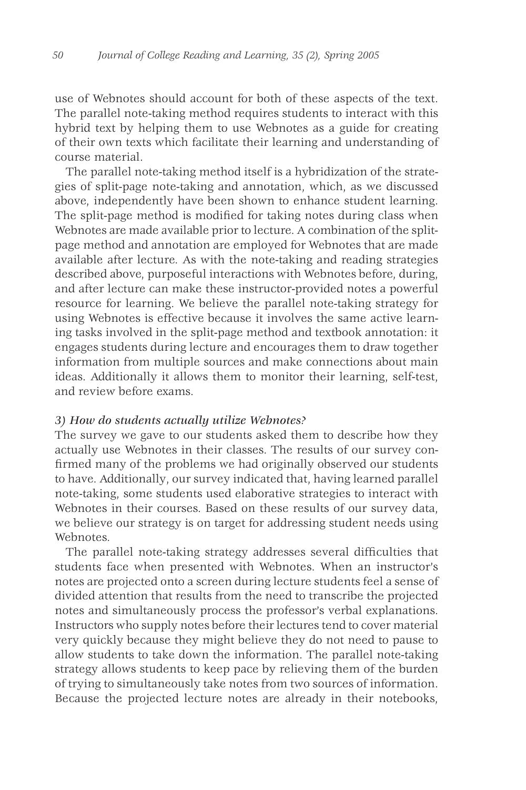use of Webnotes should account for both of these aspects of the text. The parallel note-taking method requires students to interact with this hybrid text by helping them to use Webnotes as a guide for creating of their own texts which facilitate their learning and understanding of course material.

The parallel note-taking method itself is a hybridization of the strategies of split-page note-taking and annotation, which, as we discussed above, independently have been shown to enhance student learning. The split-page method is modified for taking notes during class when Webnotes are made available prior to lecture. A combination of the splitpage method and annotation are employed for Webnotes that are made available after lecture. As with the note-taking and reading strategies described above, purposeful interactions with Webnotes before, during, and after lecture can make these instructor-provided notes a powerful resource for learning. We believe the parallel note-taking strategy for using Webnotes is effective because it involves the same active learning tasks involved in the split-page method and textbook annotation: it engages students during lecture and encourages them to draw together information from multiple sources and make connections about main ideas. Additionally it allows them to monitor their learning, self-test, and review before exams.

### *3) How do students actually utilize Webnotes?*

The survey we gave to our students asked them to describe how they actually use Webnotes in their classes. The results of our survey confirmed many of the problems we had originally observed our students to have. Additionally, our survey indicated that, having learned parallel note-taking, some students used elaborative strategies to interact with Webnotes in their courses. Based on these results of our survey data, we believe our strategy is on target for addressing student needs using Webnotes.

The parallel note-taking strategy addresses several difficulties that students face when presented with Webnotes. When an instructor's notes are projected onto a screen during lecture students feel a sense of divided attention that results from the need to transcribe the projected notes and simultaneously process the professor's verbal explanations. Instructors who supply notes before their lectures tend to cover material very quickly because they might believe they do not need to pause to allow students to take down the information. The parallel note-taking strategy allows students to keep pace by relieving them of the burden of trying to simultaneously take notes from two sources of information. Because the projected lecture notes are already in their notebooks,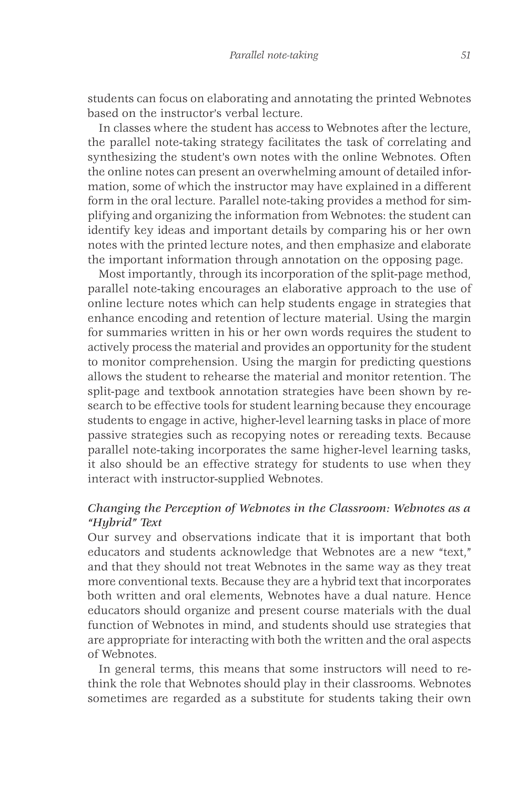students can focus on elaborating and annotating the printed Webnotes based on the instructor's verbal lecture.

In classes where the student has access to Webnotes after the lecture, the parallel note-taking strategy facilitates the task of correlating and synthesizing the student's own notes with the online Webnotes. Often the online notes can present an overwhelming amount of detailed information, some of which the instructor may have explained in a different form in the oral lecture. Parallel note-taking provides a method for simplifying and organizing the information from Webnotes: the student can identify key ideas and important details by comparing his or her own notes with the printed lecture notes, and then emphasize and elaborate the important information through annotation on the opposing page.

Most importantly, through its incorporation of the split-page method, parallel note-taking encourages an elaborative approach to the use of online lecture notes which can help students engage in strategies that enhance encoding and retention of lecture material. Using the margin for summaries written in his or her own words requires the student to actively process the material and provides an opportunity for the student to monitor comprehension. Using the margin for predicting questions allows the student to rehearse the material and monitor retention. The split-page and textbook annotation strategies have been shown by research to be effective tools for student learning because they encourage students to engage in active, higher-level learning tasks in place of more passive strategies such as recopying notes or rereading texts. Because parallel note-taking incorporates the same higher-level learning tasks, it also should be an effective strategy for students to use when they interact with instructor-supplied Webnotes.

## *Changing the Perception of Webnotes in the Classroom: Webnotes as a "Hybrid" Text*

Our survey and observations indicate that it is important that both educators and students acknowledge that Webnotes are a new "text," and that they should not treat Webnotes in the same way as they treat more conventional texts. Because they are a hybrid text that incorporates both written and oral elements, Webnotes have a dual nature. Hence educators should organize and present course materials with the dual function of Webnotes in mind, and students should use strategies that are appropriate for interacting with both the written and the oral aspects of Webnotes.

In general terms, this means that some instructors will need to rethink the role that Webnotes should play in their classrooms. Webnotes sometimes are regarded as a substitute for students taking their own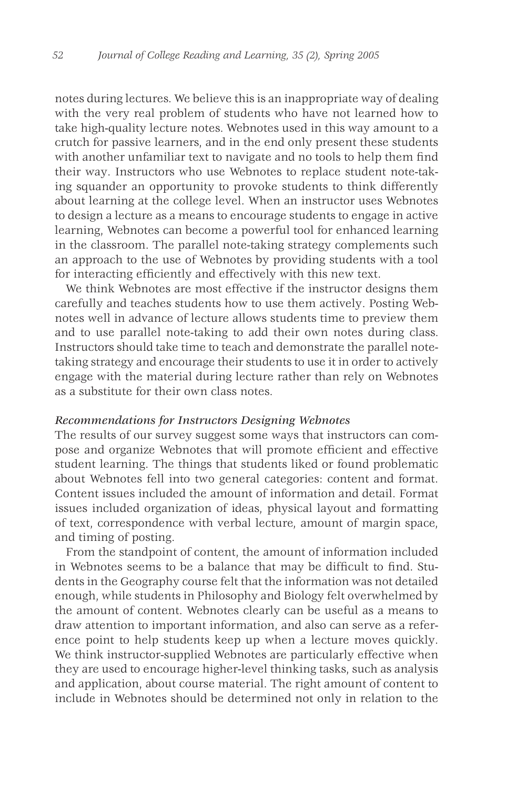notes during lectures. We believe this is an inappropriate way of dealing with the very real problem of students who have not learned how to take high-quality lecture notes. Webnotes used in this way amount to a crutch for passive learners, and in the end only present these students with another unfamiliar text to navigate and no tools to help them find their way. Instructors who use Webnotes to replace student note-taking squander an opportunity to provoke students to think differently about learning at the college level. When an instructor uses Webnotes to design a lecture as a means to encourage students to engage in active learning, Webnotes can become a powerful tool for enhanced learning in the classroom. The parallel note-taking strategy complements such an approach to the use of Webnotes by providing students with a tool for interacting efficiently and effectively with this new text.

We think Webnotes are most effective if the instructor designs them carefully and teaches students how to use them actively. Posting Webnotes well in advance of lecture allows students time to preview them and to use parallel note-taking to add their own notes during class. Instructors should take time to teach and demonstrate the parallel notetaking strategy and encourage their students to use it in order to actively engage with the material during lecture rather than rely on Webnotes as a substitute for their own class notes.

## *Recommendations for Instructors Designing Webnotes*

The results of our survey suggest some ways that instructors can compose and organize Webnotes that will promote efficient and effective student learning. The things that students liked or found problematic about Webnotes fell into two general categories: content and format. Content issues included the amount of information and detail. Format issues included organization of ideas, physical layout and formatting of text, correspondence with verbal lecture, amount of margin space, and timing of posting.

From the standpoint of content, the amount of information included in Webnotes seems to be a balance that may be difficult to find. Students in the Geography course felt that the information was not detailed enough, while students in Philosophy and Biology felt overwhelmed by the amount of content. Webnotes clearly can be useful as a means to draw attention to important information, and also can serve as a reference point to help students keep up when a lecture moves quickly. We think instructor-supplied Webnotes are particularly effective when they are used to encourage higher-level thinking tasks, such as analysis and application, about course material. The right amount of content to include in Webnotes should be determined not only in relation to the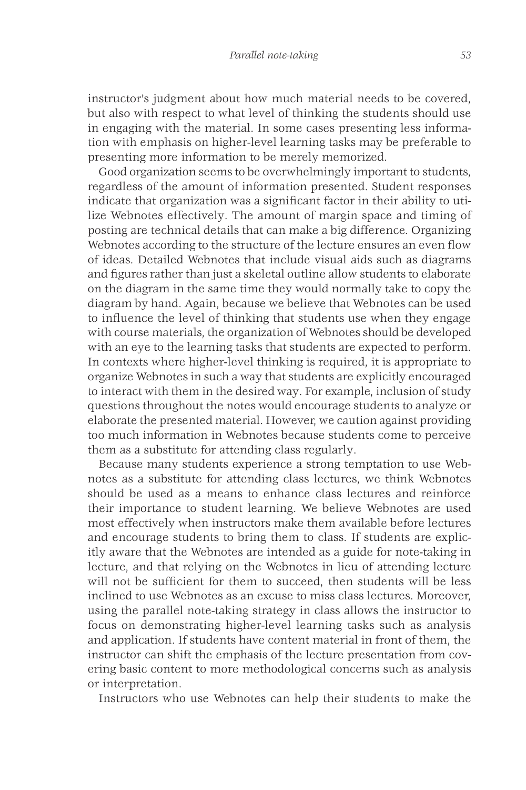instructor's judgment about how much material needs to be covered, but also with respect to what level of thinking the students should use in engaging with the material. In some cases presenting less information with emphasis on higher-level learning tasks may be preferable to presenting more information to be merely memorized.

Good organization seems to be overwhelmingly important to students, regardless of the amount of information presented. Student responses indicate that organization was a significant factor in their ability to utilize Webnotes effectively. The amount of margin space and timing of posting are technical details that can make a big difference. Organizing Webnotes according to the structure of the lecture ensures an even flow of ideas. Detailed Webnotes that include visual aids such as diagrams and figures rather than just a skeletal outline allow students to elaborate on the diagram in the same time they would normally take to copy the diagram by hand. Again, because we believe that Webnotes can be used to influence the level of thinking that students use when they engage with course materials, the organization of Webnotes should be developed with an eye to the learning tasks that students are expected to perform. In contexts where higher-level thinking is required, it is appropriate to organize Webnotes in such a way that students are explicitly encouraged to interact with them in the desired way. For example, inclusion of study questions throughout the notes would encourage students to analyze or elaborate the presented material. However, we caution against providing too much information in Webnotes because students come to perceive them as a substitute for attending class regularly.

Because many students experience a strong temptation to use Webnotes as a substitute for attending class lectures, we think Webnotes should be used as a means to enhance class lectures and reinforce their importance to student learning. We believe Webnotes are used most effectively when instructors make them available before lectures and encourage students to bring them to class. If students are explicitly aware that the Webnotes are intended as a guide for note-taking in lecture, and that relying on the Webnotes in lieu of attending lecture will not be sufficient for them to succeed, then students will be less inclined to use Webnotes as an excuse to miss class lectures. Moreover, using the parallel note-taking strategy in class allows the instructor to focus on demonstrating higher-level learning tasks such as analysis and application. If students have content material in front of them, the instructor can shift the emphasis of the lecture presentation from covering basic content to more methodological concerns such as analysis or interpretation.

Instructors who use Webnotes can help their students to make the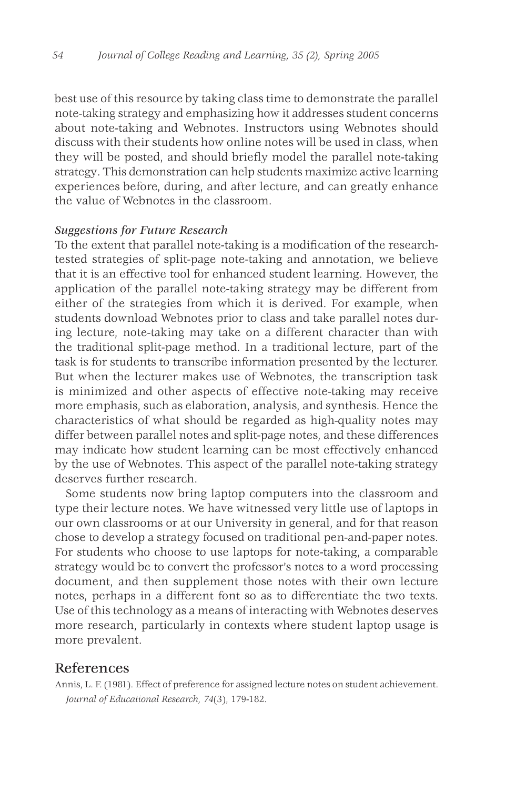best use of this resource by taking class time to demonstrate the parallel note-taking strategy and emphasizing how it addresses student concerns about note-taking and Webnotes. Instructors using Webnotes should discuss with their students how online notes will be used in class, when they will be posted, and should briefly model the parallel note-taking strategy. This demonstration can help students maximize active learning experiences before, during, and after lecture, and can greatly enhance the value of Webnotes in the classroom.

### *Suggestions for Future Research*

To the extent that parallel note-taking is a modification of the researchtested strategies of split-page note-taking and annotation, we believe that it is an effective tool for enhanced student learning. However, the application of the parallel note-taking strategy may be different from either of the strategies from which it is derived. For example, when students download Webnotes prior to class and take parallel notes during lecture, note-taking may take on a different character than with the traditional split-page method. In a traditional lecture, part of the task is for students to transcribe information presented by the lecturer. But when the lecturer makes use of Webnotes, the transcription task is minimized and other aspects of effective note-taking may receive more emphasis, such as elaboration, analysis, and synthesis. Hence the characteristics of what should be regarded as high-quality notes may differ between parallel notes and split-page notes, and these differences may indicate how student learning can be most effectively enhanced by the use of Webnotes. This aspect of the parallel note-taking strategy deserves further research.

Some students now bring laptop computers into the classroom and type their lecture notes. We have witnessed very little use of laptops in our own classrooms or at our University in general, and for that reason chose to develop a strategy focused on traditional pen-and-paper notes. For students who choose to use laptops for note-taking, a comparable strategy would be to convert the professor's notes to a word processing document, and then supplement those notes with their own lecture notes, perhaps in a different font so as to differentiate the two texts. Use of this technology as a means of interacting with Webnotes deserves more research, particularly in contexts where student laptop usage is more prevalent.

## References

Annis, L. F. (1981). Effect of preference for assigned lecture notes on student achievement. *Journal of Educational Research, 74*(3), 179-182.